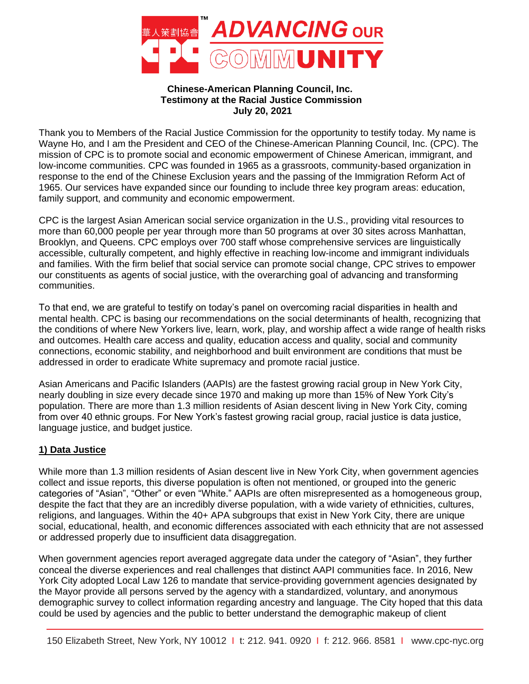

# **Chinese-American Planning Council, Inc. Testimony at the Racial Justice Commission July 20, 2021**

Thank you to Members of the Racial Justice Commission for the opportunity to testify today. My name is Wayne Ho, and I am the President and CEO of the Chinese-American Planning Council, Inc. (CPC). The mission of CPC is to promote social and economic empowerment of Chinese American, immigrant, and low-income communities. CPC was founded in 1965 as a grassroots, community-based organization in response to the end of the Chinese Exclusion years and the passing of the Immigration Reform Act of 1965. Our services have expanded since our founding to include three key program areas: education, family support, and community and economic empowerment.

CPC is the largest Asian American social service organization in the U.S., providing vital resources to more than 60,000 people per year through more than 50 programs at over 30 sites across Manhattan, Brooklyn, and Queens. CPC employs over 700 staff whose comprehensive services are linguistically accessible, culturally competent, and highly effective in reaching low-income and immigrant individuals and families. With the firm belief that social service can promote social change, CPC strives to empower our constituents as agents of social justice, with the overarching goal of advancing and transforming communities.

To that end, we are grateful to testify on today's panel on overcoming racial disparities in health and mental health. CPC is basing our recommendations on the social determinants of health, recognizing that the conditions of where New Yorkers live, learn, work, play, and worship affect a wide range of health risks and outcomes. Health care access and quality, education access and quality, social and community connections, economic stability, and neighborhood and built environment are conditions that must be addressed in order to eradicate White supremacy and promote racial justice.

Asian Americans and Pacific Islanders (AAPIs) are the fastest growing racial group in New York City, nearly doubling in size every decade since 1970 and making up more than 15% of New York City's population. There are more than 1.3 million residents of Asian descent living in New York City, coming from over 40 ethnic groups. For New York's fastest growing racial group, racial justice is data justice, language justice, and budget justice.

# **1) Data Justice**

While more than 1.3 million residents of Asian descent live in New York City, when government agencies collect and issue reports, this diverse population is often not mentioned, or grouped into the generic categories of "Asian", "Other" or even "White." AAPIs are often misrepresented as a homogeneous group, despite the fact that they are an incredibly diverse population, with a wide variety of ethnicities, cultures, religions, and languages. Within the 40+ APA subgroups that exist in New York City, there are unique social, educational, health, and economic differences associated with each ethnicity that are not assessed or addressed properly due to insufficient data disaggregation.

When government agencies report averaged aggregate data under the category of "Asian", they further conceal the diverse experiences and real challenges that distinct AAPI communities face. In 2016, New York City adopted Local Law 126 to mandate that service-providing government agencies designated by the Mayor provide all persons served by the agency with a standardized, voluntary, and anonymous demographic survey to collect information regarding ancestry and language. The City hoped that this data could be used by agencies and the public to better understand the demographic makeup of client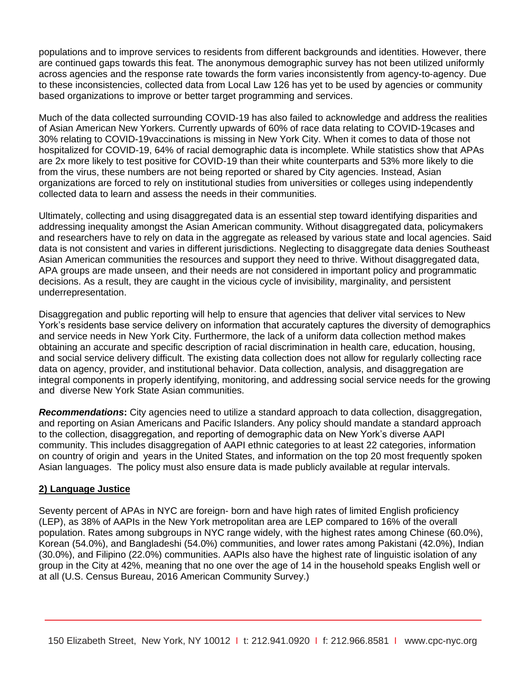populations and to improve services to residents from different backgrounds and identities. However, there are continued gaps towards this feat. The anonymous demographic survey has not been utilized uniformly across agencies and the response rate towards the form varies inconsistently from agency-to-agency. Due to these inconsistencies, collected data from Local Law 126 has yet to be used by agencies or community based organizations to improve or better target programming and services.

Much of the data collected surrounding COVID-19 has also failed to acknowledge and address the realities of Asian American New Yorkers. Currently upwards of 60% of race data relating to COVID-19cases and 30% relating to COVID-19vaccinations is missing in New York City. When it comes to data of those not hospitalized for COVID-19, 64% of racial demographic data is incomplete. While statistics show that APAs are 2x more likely to test positive for COVID-19 than their white counterparts and 53% more likely to die from the virus, these numbers are not being reported or shared by City agencies. Instead, Asian organizations are forced to rely on institutional studies from universities or colleges using independently collected data to learn and assess the needs in their communities.

Ultimately, collecting and using disaggregated data is an essential step toward identifying disparities and addressing inequality amongst the Asian American community. Without disaggregated data, policymakers and researchers have to rely on data in the aggregate as released by various state and local agencies. Said data is not consistent and varies in different jurisdictions. Neglecting to disaggregate data denies Southeast Asian American communities the resources and support they need to thrive. Without disaggregated data, APA groups are made unseen, and their needs are not considered in important policy and programmatic decisions. As a result, they are caught in the vicious cycle of invisibility, marginality, and persistent underrepresentation.

Disaggregation and public reporting will help to ensure that agencies that deliver vital services to New York's residents base service delivery on information that accurately captures the diversity of demographics and service needs in New York City. Furthermore, the lack of a uniform data collection method makes obtaining an accurate and specific description of racial discrimination in health care, education, housing, and social service delivery difficult. The existing data collection does not allow for regularly collecting race data on agency, provider, and institutional behavior. Data collection, analysis, and disaggregation are integral components in properly identifying, monitoring, and addressing social service needs for the growing and diverse New York State Asian communities.

*Recommendations***:** City agencies need to utilize a standard approach to data collection, disaggregation, and reporting on Asian Americans and Pacific Islanders. Any policy should mandate a standard approach to the collection, disaggregation, and reporting of demographic data on New York's diverse AAPI community. This includes disaggregation of AAPI ethnic categories to at least 22 categories, information on country of origin and years in the United States, and information on the top 20 most frequently spoken Asian languages. The policy must also ensure data is made publicly available at regular intervals.

# **2) Language Justice**

Seventy percent of APAs in NYC are foreign- born and have high rates of limited English proficiency (LEP), as 38% of AAPIs in the New York metropolitan area are LEP compared to 16% of the overall population. Rates among subgroups in NYC range widely, with the highest rates among Chinese (60.0%), Korean (54.0%), and Bangladeshi (54.0%) communities, and lower rates among Pakistani (42.0%), Indian (30.0%), and Filipino (22.0%) communities. AAPIs also have the highest rate of linguistic isolation of any group in the City at 42%, meaning that no one over the age of 14 in the household speaks English well or at all (U.S. Census Bureau, 2016 American Community Survey.)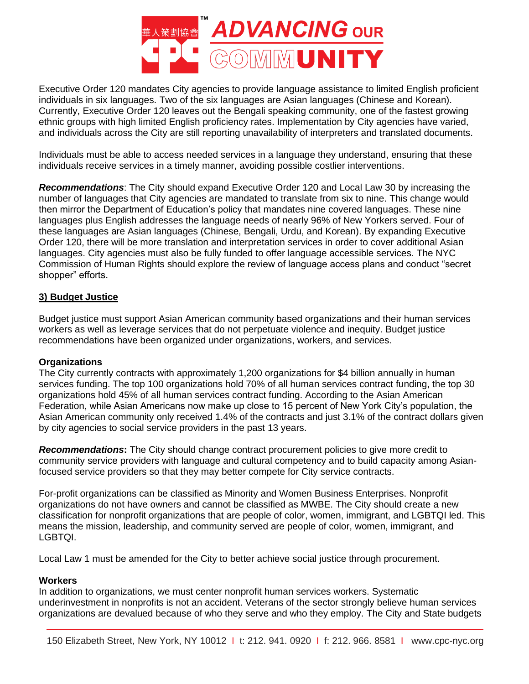

Executive Order 120 mandates City agencies to provide language assistance to limited English proficient individuals in six languages. Two of the six languages are Asian languages (Chinese and Korean). Currently, Executive Order 120 leaves out the Bengali speaking community, one of the fastest growing ethnic groups with high limited English proficiency rates. Implementation by City agencies have varied, and individuals across the City are still reporting unavailability of interpreters and translated documents.

Individuals must be able to access needed services in a language they understand, ensuring that these individuals receive services in a timely manner, avoiding possible costlier interventions.

*Recommendations*: The City should expand Executive Order 120 and Local Law 30 by increasing the number of languages that City agencies are mandated to translate from six to nine. This change would then mirror the Department of Education's policy that mandates nine covered languages. These nine languages plus English addresses the language needs of nearly 96% of New Yorkers served. Four of these languages are Asian languages (Chinese, Bengali, Urdu, and Korean). By expanding Executive Order 120, there will be more translation and interpretation services in order to cover additional Asian languages. City agencies must also be fully funded to offer language accessible services. The NYC Commission of Human Rights should explore the review of language access plans and conduct "secret shopper" efforts.

# **3) Budget Justice**

Budget justice must support Asian American community based organizations and their human services workers as well as leverage services that do not perpetuate violence and inequity. Budget justice recommendations have been organized under organizations, workers, and services.

# **Organizations**

The City currently contracts with approximately 1,200 organizations for \$4 billion annually in human services funding. The top 100 organizations hold 70% of all human services contract funding, the top 30 organizations hold 45% of all human services contract funding. According to the Asian American Federation, while Asian Americans now make up close to 15 percent of New York City's population, the Asian American community only received 1.4% of the contracts and just 3.1% of the contract dollars given by city agencies to social service providers in the past 13 years.

*Recommendations***:** The City should change contract procurement policies to give more credit to community service providers with language and cultural competency and to build capacity among Asianfocused service providers so that they may better compete for City service contracts.

For-profit organizations can be classified as Minority and Women Business Enterprises. Nonprofit organizations do not have owners and cannot be classified as MWBE. The City should create a new classification for nonprofit organizations that are people of color, women, immigrant, and LGBTQI led. This means the mission, leadership, and community served are people of color, women, immigrant, and LGBTQI.

Local Law 1 must be amended for the City to better achieve social justice through procurement.

# **Workers**

In addition to organizations, we must center nonprofit human services workers. Systematic underinvestment in nonprofits is not an accident. Veterans of the sector strongly believe human services organizations are devalued because of who they serve and who they employ. The City and State budgets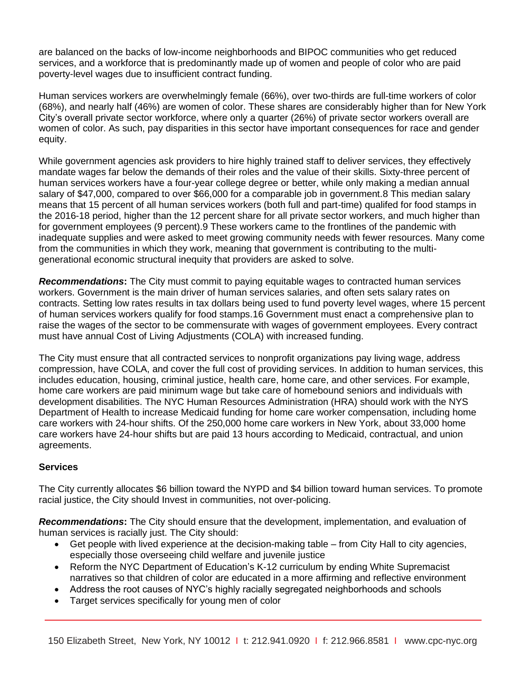are balanced on the backs of low-income neighborhoods and BIPOC communities who get reduced services, and a workforce that is predominantly made up of women and people of color who are paid poverty-level wages due to insufficient contract funding.

Human services workers are overwhelmingly female (66%), over two-thirds are full-time workers of color (68%), and nearly half (46%) are women of color. These shares are considerably higher than for New York City's overall private sector workforce, where only a quarter (26%) of private sector workers overall are women of color. As such, pay disparities in this sector have important consequences for race and gender equity.

While government agencies ask providers to hire highly trained staff to deliver services, they effectively mandate wages far below the demands of their roles and the value of their skills. Sixty-three percent of human services workers have a four-year college degree or better, while only making a median annual salary of \$47,000, compared to over \$66,000 for a comparable job in government.8 This median salary means that 15 percent of all human services workers (both full and part-time) qualifed for food stamps in the 2016-18 period, higher than the 12 percent share for all private sector workers, and much higher than for government employees (9 percent).9 These workers came to the frontlines of the pandemic with inadequate supplies and were asked to meet growing community needs with fewer resources. Many come from the communities in which they work, meaning that government is contributing to the multigenerational economic structural inequity that providers are asked to solve.

*Recommendations***:** The City must commit to paying equitable wages to contracted human services workers. Government is the main driver of human services salaries, and often sets salary rates on contracts. Setting low rates results in tax dollars being used to fund poverty level wages, where 15 percent of human services workers qualify for food stamps.16 Government must enact a comprehensive plan to raise the wages of the sector to be commensurate with wages of government employees. Every contract must have annual Cost of Living Adjustments (COLA) with increased funding.

The City must ensure that all contracted services to nonprofit organizations pay living wage, address compression, have COLA, and cover the full cost of providing services. In addition to human services, this includes education, housing, criminal justice, health care, home care, and other services. For example, home care workers are paid minimum wage but take care of homebound seniors and individuals with development disabilities. The NYC Human Resources Administration (HRA) should work with the NYS Department of Health to increase Medicaid funding for home care worker compensation, including home care workers with 24-hour shifts. Of the 250,000 home care workers in New York, about 33,000 home care workers have 24-hour shifts but are paid 13 hours according to Medicaid, contractual, and union agreements.

# **Services**

The City currently allocates \$6 billion toward the NYPD and \$4 billion toward human services. To promote racial justice, the City should Invest in communities, not over-policing.

*Recommendations***:** The City should ensure that the development, implementation, and evaluation of human services is racially just. The City should:

- Get people with lived experience at the decision-making table from City Hall to city agencies, especially those overseeing child welfare and juvenile justice
- Reform the NYC Department of Education's K-12 curriculum by ending White Supremacist narratives so that children of color are educated in a more affirming and reflective environment
- Address the root causes of NYC's highly racially segregated neighborhoods and schools
- Target services specifically for young men of color